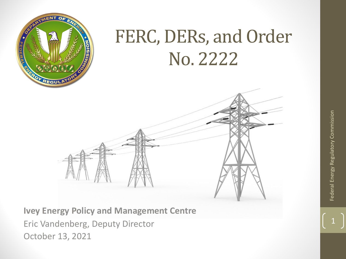

#### FERC, DERs, and Order No. 2222

**Ivey Energy Policy and Management Centre** Eric Vandenberg, Deputy Director October 13, 2021

Federal Energy Regulatory Commission **1** Federal Energy Regulatory Commission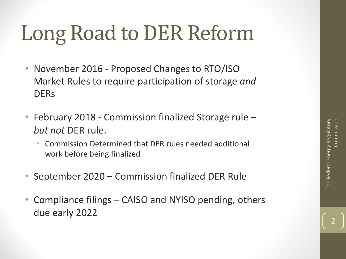# Long Road to DER Reform

- November 2016 Proposed Changes to RTO/ISO Market Rules to require participation of storage *and*  **DER<sub>s</sub>**
- February 2018 Commission finalized Storage rule *but not* DER rule.
	- Commission Determined that DER rules needed additional work before being finalized
- September 2020 Commission finalized DER Rule
- Compliance filings CAISO and NYISO pending, others due early 2022

2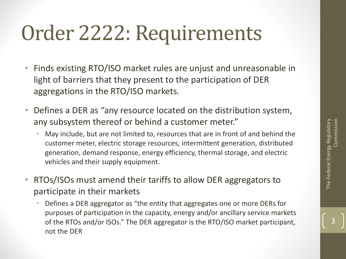3

## Order 2222: Requirements

- Finds existing RTO/ISO market rules are unjust and unreasonable in light of barriers that they present to the participation of DER aggregations in the RTO/ISO markets.
- Defines a DER as "any resource located on the distribution system, any subsystem thereof or behind a customer meter."
	- May include, but are not limited to, resources that are in front of and behind the customer meter, electric storage resources, intermittent generation, distributed generation, demand response, energy efficiency, thermal storage, and electric vehicles and their supply equipment.
- RTOs/ISOs must amend their tariffs to allow DER aggregators to participate in their markets
	- Defines a DER aggregator as "the entity that aggregates one or more DERs for purposes of participation in the capacity, energy and/or ancillary service markets of the RTOs and/or ISOs." The DER aggregator is the RTO/ISO market participant, not the DER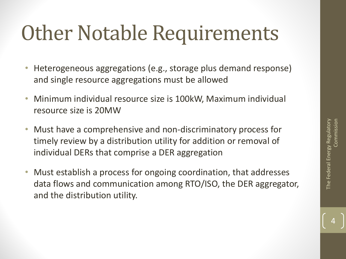### **Other Notable Requirements**

- Heterogeneous aggregations (e.g., storage plus demand response) and single resource aggregations must be allowed
- Minimum individual resource size is 100kW, Maximum individual resource size is 20MW
- Must have a comprehensive and non-discriminatory process for timely review by a distribution utility for addition or removal of individual DERs that comprise a DER aggregation
- Must establish a process for ongoing coordination, that addresses data flows and communication among RTO/ISO, the DER aggregator, and the distribution utility.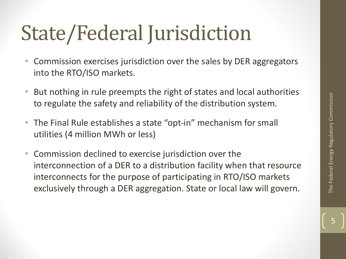## State/Federal Jurisdiction

- Commission exercises jurisdiction over the sales by DER aggregators into the RTO/ISO markets.
- But nothing in rule preempts the right of states and local authorities to regulate the safety and reliability of the distribution system.
- The Final Rule establishes a state "opt-in" mechanism for small utilities (4 million MWh or less)
- Commission declined to exercise jurisdiction over the interconnection of a DER to a distribution facility when that resource interconnects for the purpose of participating in RTO/ISO markets exclusively through a DER aggregation. State or local law will govern.